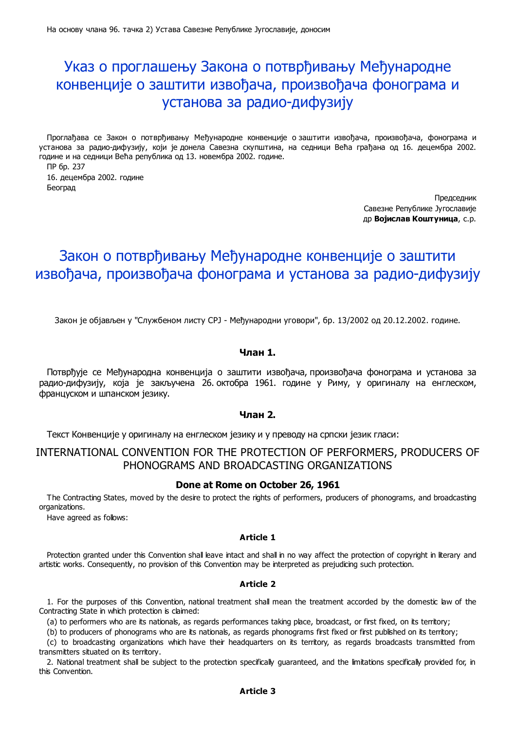# Указ о проглашењу Закона о потврђивању Међународне конвенције о заштити извођача, произвођача фонограма и установа за радио-дифузију

Проглађава се Закон о потврђивању Међународне конвенције о заштити извођача, произвођача, фонограма и установа за радио-дифузију, који је донела Савезна скупштина, на седници Већа грађана од 16. децембра 2002. године и на седници Већа република од 13. новембра 2002. године.

ПР бр. 237 16. децембра 2002. године Београд

Председник Савезне Републике Југославије др **Војислав Коштуница**, с.р.

# Закон о потврђивању Међународне конвенције о заштити извођача, произвођача фонограма и установа за радио-дифузију

Закон је објављен у "Службеном листу СРЈ - Међународни уговори", бр. 13/2002 од 20.12.2002. године.

# **Члан 1.**

Потврђује се Међународна конвенција о заштити извођача, произвођача фонограма и установа за радио-дифузију, која је закључена 26. октобра 1961. године у Риму, у оригиналу на енглеском, француском и шпанском језику.

# **Члан 2.**

Текст Конвенције у оригиналу на енглеском језику и у преводу на српски језик гласи:

# INTERNATIONAL CONVENTION FOR THE PROTECTION OF PERFORMERS, PRODUCERS OF PHONOGRAMS AND BROADCASTING ORGANIZATIONS

# **Done at Rome on October 26, 1961**

The Contracting States, moved by the desire to protect the rights of performers, producers of phonograms, and broadcasting organizations.

Have agreed as follows:

# **Article 1**

Protection granted under this Convention shall leave intact and shall in no way affect the protection of copyright in literary and artistic works. Consequently, no provision of this Convention may be interpreted as prejudicing such protection.

# **Article 2**

1. For the purposes of this Convention, national treatment shall mean the treatment accorded by the domestic law of the Contracting State in which protection is claimed:

(a) to performers who are its nationals, as regards performances taking place, broadcast, or first fixed, on its territory;

(b) to producers of phonograms who are its nationals, as regards phonograms first fixed or first published on its territory;

(c) to broadcasting organizations which have their headquarters on its territory, as regards broadcasts transmitted from transmitters situated on its territory.

2. National treatment shall be subject to the protection specifically guaranteed, and the limitations specifically provided for, in this Convention.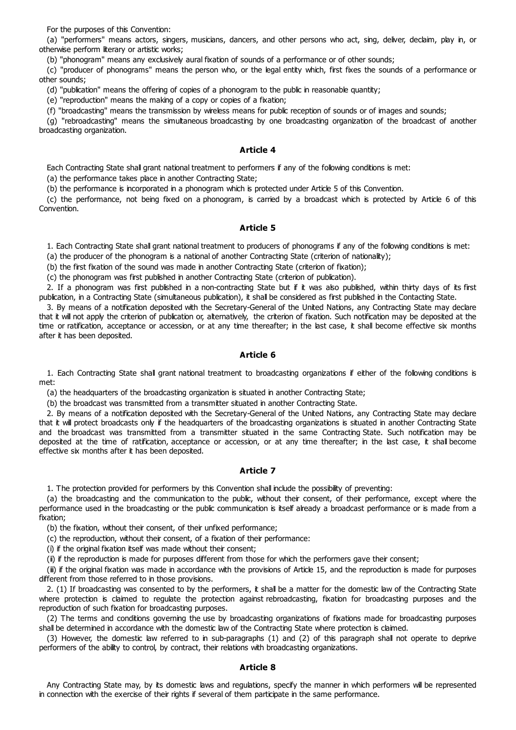For the purposes of this Convention:

(a) "performers" means actors, singers, musicians, dancers, and other persons who act, sing, deliver, declaim, play in, or otherwise perform literary or artistic works;

(b) "phonogram" means any exclusively aural fixation of sounds of a performance or of other sounds;

(c) "producer of phonograms" means the person who, or the legal entity which, first fixes the sounds of a performance or other sounds;

(d) "publication" means the offering of copies of a phonogram to the public in reasonable quantity;

(e) "reproduction" means the making of a copy or copies of a fixation;

(f) "broadcasting" means the transmission by wireless means for public reception of sounds or of images and sounds;

(g) "rebroadcasting" means the simultaneous broadcasting by one broadcasting organization of the broadcast of another broadcasting organization.

# **Article 4**

Each Contracting State shall grant national treatment to performers if any of the following conditions is met:

(a) the performance takes place in another Contracting State;

(b) the performance is incorporated in a phonogram which is protected under Article 5 of this Convention.

(c) the performance, not being fixed on a phonogram, is carried by a broadcast which is protected by Article 6 of this Convention.

# **Article 5**

1. Each Contracting State shall grant national treatment to producers of phonograms if any of the following conditions is met:

(a) the producer of the phonogram is a national of another Contracting State (criterion of nationality);

(b) the first fixation of the sound was made in another Contracting State (criterion of fixation);

(c) the phonogram was first published in another Contracting State (criterion of publication).

2. If a phonogram was first published in a non-contracting State but if it was also published, within thirty days of its first publication, in a Contracting State (simultaneous publication), it shall be considered as first published in the Contacting State.

3. By means of a notification deposited with the Secretary-General of the United Nations, any Contracting State may declare that it will not apply the criterion of publication or, alternatively, the criterion of fixation. Such notification may be deposited at the time or ratification, acceptance or accession, or at any time thereafter; in the last case, it shall become effective six months after it has been deposited.

# **Article 6**

1. Each Contracting State shall grant national treatment to broadcasting organizations if either of the following conditions is met:

(a) the headquarters of the broadcasting organization is situated in another Contracting State;

(b) the broadcast was transmitted from a transmitter situated in another Contracting State.

2. By means of a notification deposited with the Secretary-General of the United Nations, any Contracting State may declare that it will protect broadcasts only if the headquarters of the broadcasting organizations is situated in another Contracting State and the broadcast was transmitted from a transmitter situated in the same Contracting State. Such notification may be deposited at the time of ratification, acceptance or accession, or at any time thereafter; in the last case, it shall become effective six months after it has been deposited.

# **Article 7**

1. The protection provided for performers by this Convention shall include the possibility of preventing:

(a) the broadcasting and the communication to the public, without their consent, of their performance, except where the performance used in the broadcasting or the public communication is itself already a broadcast performance or is made from a fixation;

(b) the fixation, without their consent, of their unfixed performance;

(c) the reproduction, without their consent, of a fixation of their performance:

(i) if the original fixation itself was made without their consent;

(ii) if the reproduction is made for purposes different from those for which the performers gave their consent;

(iii) if the original fixation was made in accordance with the provisions of Article 15, and the reproduction is made for purposes different from those referred to in those provisions.

2. (1) If broadcasting was consented to by the performers, it shall be a matter for the domestic law of the Contracting State where protection is claimed to regulate the protection against rebroadcasting, fixation for broadcasting purposes and the reproduction of such fixation for broadcasting purposes.

(2) The terms and conditions governing the use by broadcasting organizations of fixations made for broadcasting purposes shall be determined in accordance with the domestic law of the Contracting State where protection is claimed.

(3) However, the domestic law referred to in sub-paragraphs (1) and (2) of this paragraph shall not operate to deprive performers of the ability to control, by contract, their relations with broadcasting organizations.

## **Article 8**

Any Contracting State may, by its domestic laws and regulations, specify the manner in which performers will be represented in connection with the exercise of their rights if several of them participate in the same performance.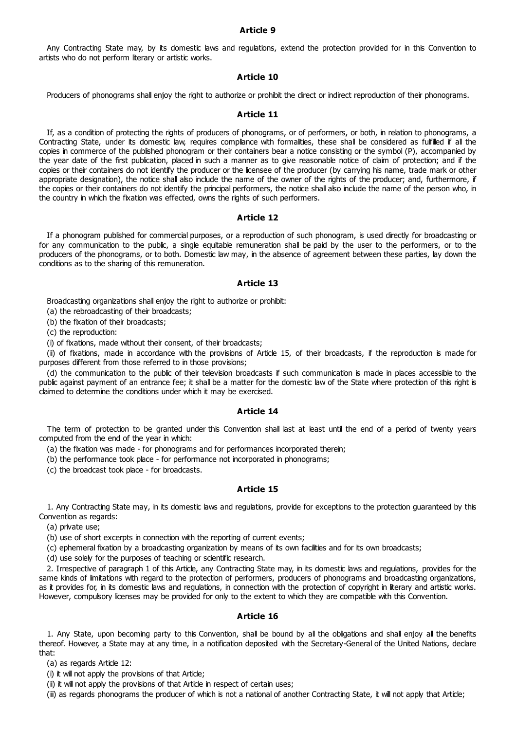# **Article 9**

Any Contracting State may, by its domestic laws and regulations, extend the protection provided for in this Convention to artists who do not perform literary or artistic works.

#### **Article 10**

Producers of phonograms shall enjoy the right to authorize or prohibit the direct or indirect reproduction of their phonograms.

# **Article 11**

If, as a condition of protecting the rights of producers of phonograms, or of performers, or both, in relation to phonograms, a Contracting State, under its domestic law, requires compliance with formalities, these shall be considered as fulfilled if all the copies in commerce of the published phonogram or their containers bear a notice consisting or the symbol (P), accompanied by the year date of the first publication, placed in such a manner as to give reasonable notice of claim of protection; and if the copies or their containers do not identify the producer or the licensee of the producer (by carrying his name, trade mark or other appropriate designation), the notice shall also include the name of the owner of the rights of the producer; and, furthermore, if the copies or their containers do not identify the principal performers, the notice shall also include the name of the person who, in the country in which the fixation was effected, owns the rights of such performers.

#### **Article 12**

If a phonogram published for commercial purposes, or a reproduction of such phonogram, is used directly for broadcasting or for any communication to the public, a single equitable remuneration shall be paid by the user to the performers, or to the producers of the phonograms, or to both. Domestic law may, in the absence of agreement between these parties, lay down the conditions as to the sharing of this remuneration.

### **Article 13**

Broadcasting organizations shall enjoy the right to authorize or prohibit:

(a) the rebroadcasting of their broadcasts;

(b) the fixation of their broadcasts;

(c) the reproduction:

(i) of fixations, made without their consent, of their broadcasts;

(ii) of fixations, made in accordance with the provisions of Article 15, of their broadcasts, if the reproduction is made for purposes different from those referred to in those provisions;

(d) the communication to the public of their television broadcasts if such communication is made in places accessible to the public against payment of an entrance fee; it shall be a matter for the domestic law of the State where protection of this right is claimed to determine the conditions under which it may be exercised.

#### **Article 14**

The term of protection to be granted under this Convention shall last at least until the end of a period of twenty years computed from the end of the year in which:

(a) the fixation was made - for phonograms and for performances incorporated therein;

(b) the performance took place - for performance not incorporated in phonograms;

(c) the broadcast took place - for broadcasts.

# **Article 15**

1. Any Contracting State may, in its domestic laws and regulations, provide for exceptions to the protection guaranteed by this Convention as regards:

(a) private use;

(b) use of short excerpts in connection with the reporting of current events;

(c) ephemeral fixation by a broadcasting organization by means of its own facilities and for its own broadcasts;

(d) use solely for the purposes of teaching or scientific research.

2. Irrespective of paragraph 1 of this Article, any Contracting State may, in its domestic laws and regulations, provides for the same kinds of limitations with regard to the protection of performers, producers of phonograms and broadcasting organizations, as it provides for, in its domestic laws and regulations, in connection with the protection of copyright in literary and artistic works. However, compulsory licenses may be provided for only to the extent to which they are compatible with this Convention.

#### **Article 16**

1. Any State, upon becoming party to this Convention, shall be bound by all the obligations and shall enjoy all the benefits thereof. However, a State may at any time, in a notification deposited with the Secretary-General of the United Nations, declare that:

(a) as regards Article 12:

(i) it will not apply the provisions of that Article;

(ii) it will not apply the provisions of that Article in respect of certain uses;

(iii) as regards phonograms the producer of which is not a national of another Contracting State, it will not apply that Article;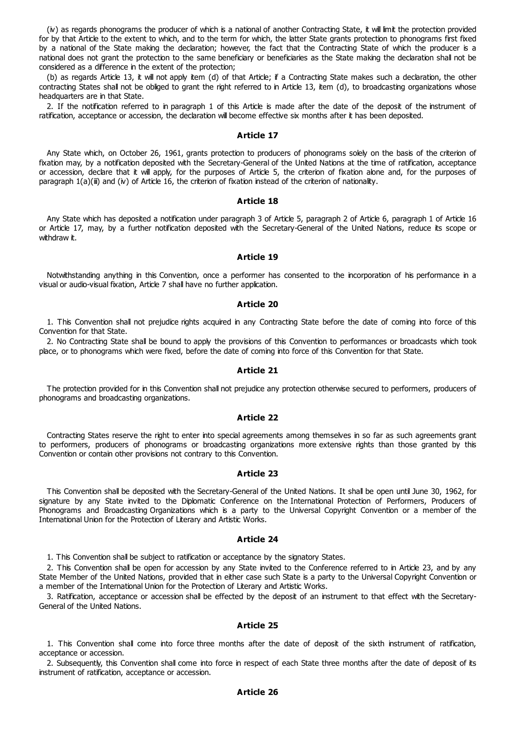(iv) as regards phonograms the producer of which is a national of another Contracting State, it will limit the protection provided for by that Article to the extent to which, and to the term for which, the latter State grants protection to phonograms first fixed by a national of the State making the declaration; however, the fact that the Contracting State of which the producer is a national does not grant the protection to the same beneficiary or beneficiaries as the State making the declaration shall not be considered as a difference in the extent of the protection;

(b) as regards Article 13, it will not apply item (d) of that Article; if a Contracting State makes such a declaration, the other contracting States shall not be obliged to grant the right referred to in Article 13, item (d), to broadcasting organizations whose headquarters are in that State.

2. If the notification referred to in paragraph 1 of this Article is made after the date of the deposit of the instrument of ratification, acceptance or accession, the declaration will become effective six months after it has been deposited.

## **Article 17**

Any State which, on October 26, 1961, grants protection to producers of phonograms solely on the basis of the criterion of fixation may, by a notification deposited with the Secretary-General of the United Nations at the time of ratification, acceptance or accession, declare that it will apply, for the purposes of Article 5, the criterion of fixation alone and, for the purposes of paragraph 1(a)(iii) and (iv) of Article 16, the criterion of fixation instead of the criterion of nationality.

# **Article 18**

Any State which has deposited a notification under paragraph 3 of Article 5, paragraph 2 of Article 6, paragraph 1 of Article 16 or Article 17, may, by a further notification deposited with the Secretary-General of the United Nations, reduce its scope or withdraw it.

# **Article 19**

Notwithstanding anything in this Convention, once a performer has consented to the incorporation of his performance in a visual or audio-visual fixation, Article 7 shall have no further application.

#### **Article 20**

1. This Convention shall not prejudice rights acquired in any Contracting State before the date of coming into force of this Convention for that State.

2. No Contracting State shall be bound to apply the provisions of this Convention to performances or broadcasts which took place, or to phonograms which were fixed, before the date of coming into force of this Convention for that State.

#### **Article 21**

The protection provided for in this Convention shall not prejudice any protection otherwise secured to performers, producers of phonograms and broadcasting organizations.

# **Article 22**

Contracting States reserve the right to enter into special agreements among themselves in so far as such agreements grant to performers, producers of phonograms or broadcasting organizations more extensive rights than those granted by this Convention or contain other provisions not contrary to this Convention.

# **Article 23**

This Convention shall be deposited with the Secretary-General of the United Nations. It shall be open until June 30, 1962, for signature by any State invited to the Diplomatic Conference on the International Protection of Performers, Producers of Phonograms and Broadcasting Organizations which is a party to the Universal Copyright Convention or a member of the International Union for the Protection of Literary and Artistic Works.

### **Article 24**

1. This Convention shall be subject to ratification or acceptance by the signatory States.

2. This Convention shall be open for accession by any State invited to the Conference referred to in Article 23, and by any State Member of the United Nations, provided that in either case such State is a party to the Universal Copyright Convention or a member of the International Union for the Protection of Literary and Artistic Works.

3. Ratification, acceptance or accession shall be effected by the deposit of an instrument to that effect with the Secretary-General of the United Nations.

## **Article 25**

1. This Convention shall come into force three months after the date of deposit of the sixth instrument of ratification, acceptance or accession.

2. Subsequently, this Convention shall come into force in respect of each State three months after the date of deposit of its instrument of ratification, acceptance or accession.

#### **Article 26**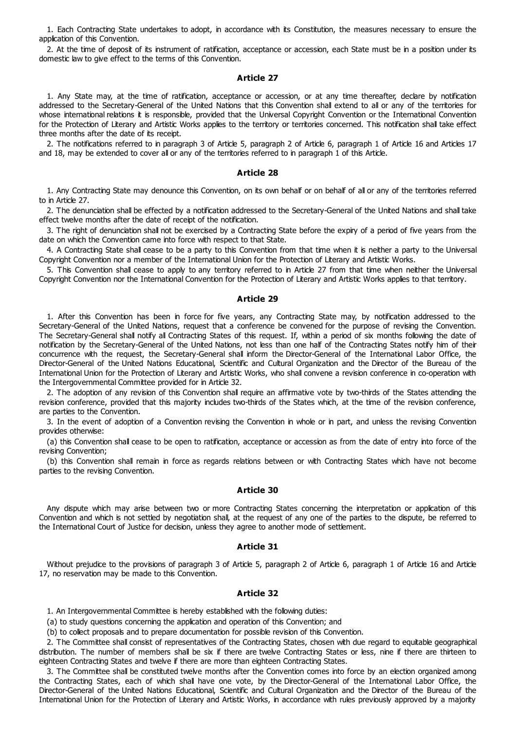1. Each Contracting State undertakes to adopt, in accordance with its Constitution, the measures necessary to ensure the application of this Convention.

2. At the time of deposit of its instrument of ratification, acceptance or accession, each State must be in a position under its domestic law to give effect to the terms of this Convention.

#### **Article 27**

1. Any State may, at the time of ratification, acceptance or accession, or at any time thereafter, declare by notification addressed to the Secretary-General of the United Nations that this Convention shall extend to all or any of the territories for whose international relations it is responsible, provided that the Universal Copyright Convention or the International Convention for the Protection of Literary and Artistic Works applies to the territory or territories concerned. This notification shall take effect three months after the date of its receipt.

2. The notifications referred to in paragraph 3 of Article 5, paragraph 2 of Article 6, paragraph 1 of Article 16 and Articles 17 and 18, may be extended to cover all or any of the territories referred to in paragraph 1 of this Article.

#### **Article 28**

1. Any Contracting State may denounce this Convention, on its own behalf or on behalf of all or any of the territories referred to in Article 27.

2. The denunciation shall be effected by a notification addressed to the Secretary-General of the United Nations and shall take effect twelve months after the date of receipt of the notification.

3. The right of denunciation shall not be exercised by a Contracting State before the expiry of a period of five years from the date on which the Convention came into force with respect to that State.

4. A Contracting State shall cease to be a party to this Convention from that time when it is neither a party to the Universal Copyright Convention nor a member of the International Union for the Protection of Literary and Artistic Works.

5. This Convention shall cease to apply to any territory referred to in Article 27 from that time when neither the Universal Copyright Convention nor the International Convention for the Protection of Literary and Artistic Works applies to that territory.

# **Article 29**

1. After this Convention has been in force for five years, any Contracting State may, by notification addressed to the Secretary-General of the United Nations, request that a conference be convened for the purpose of revising the Convention. The Secretary-General shall notify all Contracting States of this request. If, within a period of six months following the date of notification by the Secretary-General of the United Nations, not less than one half of the Contracting States notify him of their concurrence with the request, the Secretary-General shall inform the Director-General of the International Labor Office, the Director-General of the United Nations Educational, Scientific and Cultural Organization and the Director of the Bureau of the International Union for the Protection of Literary and Artistic Works, who shall convene a revision conference in co-operation with the Intergovernmental Committee provided for in Article 32.

2. The adoption of any revision of this Convention shall require an affirmative vote by two-thirds of the States attending the revision conference, provided that this majority includes two-thirds of the States which, at the time of the revision conference, are parties to the Convention.

3. In the event of adoption of a Convention revising the Convention in whole or in part, and unless the revising Convention provides otherwise:

(a) this Convention shall cease to be open to ratification, acceptance or accession as from the date of entry into force of the revising Convention;

(b) this Convention shall remain in force as regards relations between or with Contracting States which have not become parties to the revising Convention.

# **Article 30**

Any dispute which may arise between two or more Contracting States concerning the interpretation or application of this Convention and which is not settled by negotiation shall, at the request of any one of the parties to the dispute, be referred to the International Court of Justice for decision, unless they agree to another mode of settlement.

### **Article 31**

Without prejudice to the provisions of paragraph 3 of Article 5, paragraph 2 of Article 6, paragraph 1 of Article 16 and Article 17, no reservation may be made to this Convention.

# **Article 32**

1. An Intergovernmental Committee is hereby established with the following duties:

(a) to study questions concerning the application and operation of this Convention; and

(b) to collect proposals and to prepare documentation for possible revision of this Convention.

2. The Committee shall consist of representatives of the Contracting States, chosen with due regard to equitable geographical distribution. The number of members shall be six if there are twelve Contracting States or less, nine if there are thirteen to eighteen Contracting States and twelve if there are more than eighteen Contracting States.

3. The Committee shall be constituted twelve months after the Convention comes into force by an election organized among the Contracting States, each of which shall have one vote, by the Director-General of the International Labor Office, the Director-General of the United Nations Educational, Scientific and Cultural Organization and the Director of the Bureau of the International Union for the Protection of Literary and Artistic Works, in accordance with rules previously approved by a majority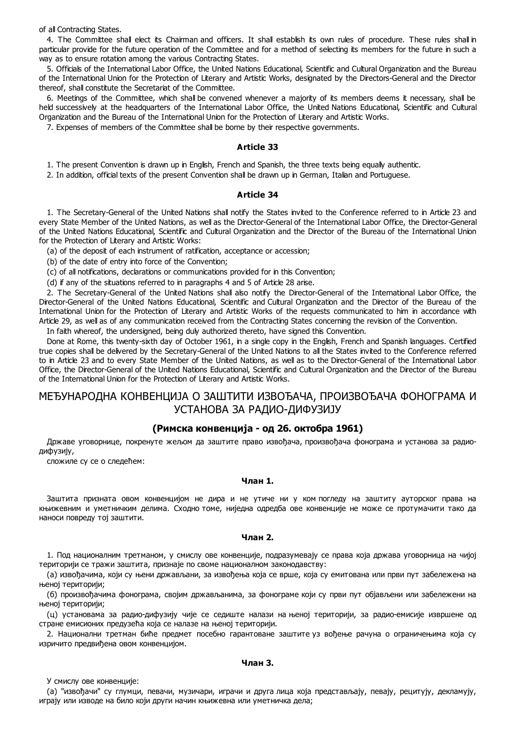of all Contracting States.

4. The Committee shall elect its Chairman and officers. It shall establish its own rules of procedure. These rules shall in particular provide for the future operation of the Committee and for a method of selecting its members for the future in such a way as to ensure rotation among the various Contracting States.

5. Officials of the International Labor Office, the United Nations Educational, Scientific and Cultural Organization and the Bureau of the International Union for the Protection of Literary and Artistic Works, designated by the Directors-General and the Director thereof, shall constitute the Secretariat of the Committee.

6. Meetings of the Committee, which shall be convened whenever a majority of its members deems it necessary, shall be held successively at the headquarters of the International Labor Office, the United Nations Educational, Scientific and Cultural Organization and the Bureau of the International Union for the Protection of Literary and Artistic Works.

7. Expenses of members of the Committee shall be borne by their respective governments.

# **Article 33**

1. The present Convention is drawn up in English, French and Spanish, the three texts being equally authentic.

2. In addition, official texts of the present Convention shall be drawn up in German, Italian and Portuguese.

# **Article 34**

1. The Secretary-General of the United Nations shall notify the States invited to the Conference referred to in Article 23 and every State Member of the United Nations, as well as the Director-General of the International Labor Office, the Director-General of the United Nations Educational, Scientific and Cultural Organization and the Director of the Bureau of the International Union for the Protection of Literary and Artistic Works:

(a) of the deposit of each instrument of ratification, acceptance or accession;

(b) of the date of entry into force of the Convention;

(c) of all notifications, declarations or communications provided for in this Convention;

(d) if any of the situations referred to in paragraphs 4 and 5 of Article 28 arise.

2. The Secretary-General of the United Nations shall also notify the Director-General of the International Labor Office, the Director-General of the United Nations Educational, Scientific and Cultural Organization and the Director of the Bureau of the International Union for the Protection of Literary and Artistic Works of the requests communicated to him in accordance with Article 29, as well as of any communication received from the Contracting States concerning the revision of the Convention.

In faith whereof, the undersigned, being duly authorized thereto, have signed this Convention.

Done at Rome, this twenty-sixth day of October 1961, in a single copy in the English, French and Spanish languages. Certified true copies shall be delivered by the Secretary-General of the United Nations to all the States invited to the Conference referred to in Article 23 and to every State Member of the United Nations, as well as to the Director-General of the International Labor Office, the Director-General of the United Nations Educational, Scientific and Cultural Organization and the Director of the Bureau of the International Union for the Protection of Literary and Artistic Works.

# МЕЂУНАРОДНА КОНВЕНЦИЈА О ЗАШТИТИ ИЗВОЂАЧА, ПРОИЗВОЂАЧА ФОНОГРАМА И УСТАНОВА ЗА РАДИО-ДИФУЗИЈУ

# **(Римска конвенција - од 26. октобра 1961)**

Државе уговорнице, покренуте жељом да заштите право извођача, произвођача фонограма и установа за радиодифузију,

сложиле су се о следећем:

#### **Члан 1.**

Заштита призната овом конвенцијом не дира и не утиче ни у ком погледу на заштиту ауторског права на књижевним и уметничким делима. Сходно томе, ниједна одредба ове конвенције не може се протумачити тако да наноси повреду тој заштити.

#### **Члан 2.**

1. Под националним третманом, у смислу ове конвенције, подразумевају се права која држава уговорница на чијој територији се тражи заштита, признаје по своме националном законодавству:

(а) извођачима, који су њени држављани, за извођења која се врше, која су емитована или први пут забележена на њеној територији;

(б) произвођачима фонограма, својим држављанима, за фонограме који су први пут објављени или забележени на њеној територији;

(ц) установама за радио-дифузију чије се седиште налази на њеној територији, за радио-емисије извршене од стране емисионих предузећа која се налазе на њеној територији.

2. Национални третман биће предмет посебно гарантоване заштите уз вођење рачуна о ограничењима која су изричито предвиђена овом конвенцијом.

#### **Члан 3.**

У смислу ове конвенције:

(а) "извођачи" су глумци, певачи, музичари, играчи и друга лица која представљају, певају, рецитују, декламују, играју или изводе на било који други начин књижевна или уметничка дела;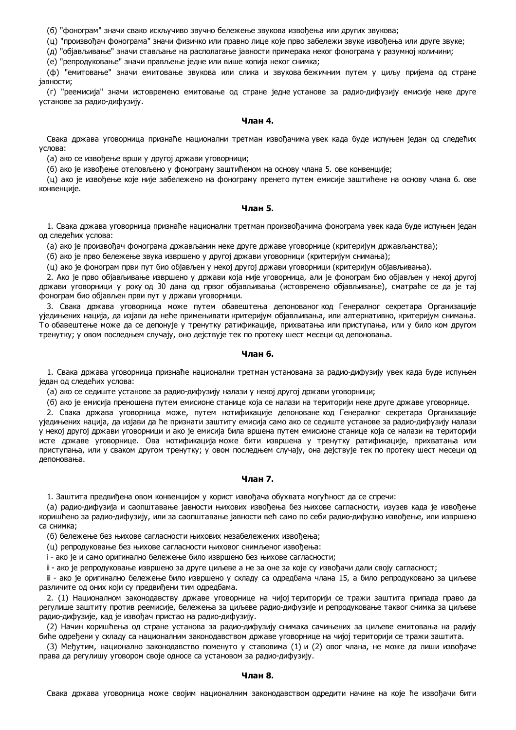(б) "фонограм" значи свако искључиво звучно бележење звукова извођења или других звукова;

(ц) "произвођач фонограма" значи физичко или правно лице које прво забележи звуке извођења или друге звуке;

(д) "објављивање" значи стављање на располагање јавности примерака неког фонограма у разумној количини;

(е) "репродуковање" значи прављење једне или више копија неког снимка;

(ф) "емитовање" значи емитовање звукова или слика и звукова бежичним путем у циљу пријема од стране јавности;

(г) "реемисија" значи истовремено емитовање од стране једне установе за радио-дифузију емисије неке друге установе за радио-дифузију.

# **Члан 4.**

Свака држава уговорница признаће национални третман извођачима увек када буде испуњен један од следећих услова:

(а) ако се извођење врши у другој држави уговорници;

(б) ако је извођење отеловљено у фонограму заштићеном на основу члана 5. ове конвенције;

(ц) ако је извођење које није забележено на фонограму пренето путем емисије заштићене на основу члана 6. ове конвенције.

#### **Члан 5.**

1. Свака држава уговорница признаће национални третман произвођачима фонограма увек када буде испуњен један од следећих услова:

(а) ако је произвођач фонограма држављанин неке друге државе уговорнице (критеријум држављанства);

(б) ако је прво бележење звука извршено у другој држави уговорници (критеријум снимања);

(ц) ако је фонограм први пут био објављен у некој другој држави уговорници (критеријум објављивања).

2. Ако је прво објављивање извршено у држави која није уговорница, али је фонограм био објављен у некој другој држави уговорници у року од 30 дана од првог објављивања (истовремено објављивање), сматраће се да је тај фонограм био објављен први пут у држави уговорници.

3. Свака држава уговорница може путем обавештења депонованог код Генералног секретара Организације уједињених нација, да изјави да неће примењивати критеријум објављивања, или алтернативно, критеријум снимања. То обавештење може да се депонује у тренутку ратификације, прихватања или приступања, или у било ком другом тренутку; у овом последњем случају, оно дејствује тек по протеку шест месеци од депоновања.

#### **Члан 6.**

1. Свака држава уговорница признаће национални третман установама за радио-дифузију увек када буде испуњен један од следећих услова:

(а) ако се седиште установе за радио-дифузију налази у некој другој држави уговорници;

(б) ако је емисија преношена путем емисионе станице која се налази на територији неке друге државе уговорнице.

2. Свака држава уговорница може, путем нотификације депоноване код Генералног секретара Организације уједињених нација, да изјави да ће признати заштиту емисија само ако се седиште установе за радио-дифузију налази у некој другој држави уговорници и ако је емисија била вршена путем емисионе станице која се налази на територији исте државе уговорнице. Ова нотификација може бити извршена у тренутку ратификације, прихватања или приступања, или у сваком другом тренутку; у овом последњем случају, она дејствује тек по протеку шест месеци од депоновања.

# **Члан 7.**

1. Заштита предвиђена овом конвенцијом у корист извођача обухвата могућност да се спречи:

(а) радио-дифузија и саопштавање јавности њихових извођења без њихове сагласности, изузев када је извођење коришћено за радио-дифузију, или за саопштавање јавности већ само по себи радио-дифузно извођење, или извршено са снимка;

(б) бележење без њихове сагласности њихових незабележених извођења;

(ц) репродуковање без њихове сагласности њиховог снимљеног извођења:

i - ако је и само оригинално бележење било извршено без њихове сагласности;

ii - ако је репродуковање извршено за друге циљеве а не за оне за које су извођачи дали своју сагласност;

iii - ако је оригинално бележење било извршено у складу са одредбама члана 15, а било репродуковано за циљеве различите од оних који су предвиђени тим одредбама.

2. (1) Националном законодавству државе уговорнице на чијој територији се тражи заштита припада право да регулише заштиту против реемисије, бележења за циљеве радио-дифузије и репродуковање таквог снимка за циљеве радио-дифузије, кад је извођач пристао на радио-дифузију.

(2) Начин коришћења од стране установа за радио-дифузију снимака сачињених за циљеве емитовања на радију биће одређени у складу са националним законодавством државе уговорнице на чијој територији се тражи заштита.

(3) Међутим, национално законодавство поменуто у ставовима (1) и (2) овог члана, не може да лиши извођаче права да регулишу уговором своје односе са установом за радио-дифузију.

#### **Члан 8.**

Свака држава уговорница може својим националним законодавством одредити начине на које ће извођачи бити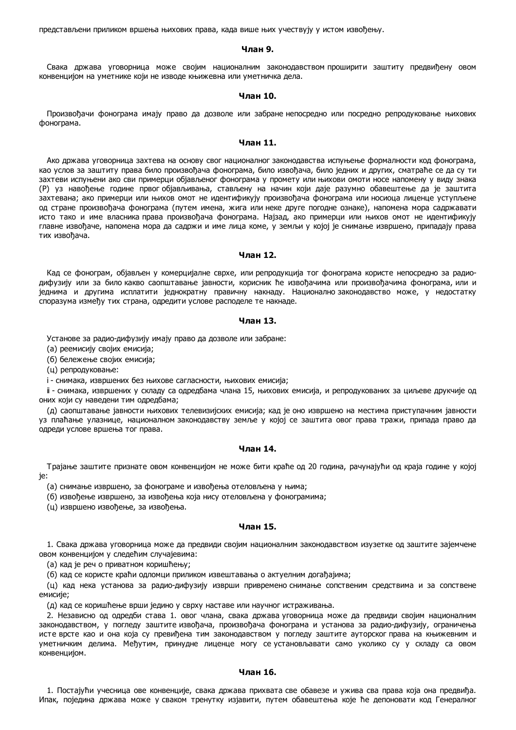представљени приликом вршења њихових права, када више њих учествују у истом извођењу.

#### **Члан 9.**

Свака држава уговорница може својим националним законодавством проширити заштиту предвиђену овом конвенцијом на уметнике који не изводе књижевна или уметничка дела.

#### **Члан 10.**

Произвођачи фонограма имају право да дозволе или забране непосредно или посредно репродуковање њихових фонограма.

## **Члан 11.**

Ако држава уговорница захтева на основу свог националног законодавства испуњење формалности код фонограма, као услов за заштиту права било произвођача фонограма, било извођача, било једних и других, сматраће се да су ти захтеви испуњени ако сви примерци објављеног фонограма у промету или њихови омоти носе напомену у виду знака (Р) уз навођење године првог објављивања, стављену на начин који даје разумно обавештење да је заштита захтевана; ако примерци или њихов омот не идентификују произвођача фонограма или носиоца лиценце уступљене од стране произвођача фонограма (путем имена, жига или неке друге погодне ознаке), напомена мора садржавати исто тако и име власника права произвођача фонограма. Најзад, ако примерци или њихов омот не идентификују главне извођаче, напомена мора да садржи и име лица коме, у земљи у којој је снимање извршено, припадају права тих извођача.

#### **Члан 12.**

Кад се фонограм, објављен у комерцијалне сврхе, или репродукција тог фонограма користе непосредно за радиодифузију или за било какво саопштавање јавности, корисник ће извођачима или произвођачима фонограма, или и једнима и другима исплатити једнократну правичну накнаду. Национално законодавство може, у недостатку споразума између тих страна, одредити услове расподеле те накнаде.

#### **Члан 13.**

Установе за радио-дифузију имају право да дозволе или забране:

(а) реемисију својих емисија;

(б) бележење својих емисија;

(ц) репродуковање:

i - снимака, извршених без њихове сагласности, њихових емисија;

ii - снимака, извршених у складу са одредбама члана 15, њихових емисија, и репродукованих за циљеве друкчије од оних који су наведени тим одредбама;

(д) саопштавање јавности њихових телевизијских емисија; кад је оно извршено на местима приступачним јавности уз плаћање улазнице, националном законодавству земље у којој се заштита овог права тражи, припада право да одреди услове вршења тог права.

# **Члан 14.**

Трајање заштите признате овом конвенцијом не може бити краће од 20 година, рачунајући од краја године у којој је:

(а) снимање извршено, за фонограме и извођења отеловљена у њима;

(б) извођење извршено, за извођења која нису отеловљена у фонограмима;

(ц) извршено извођење, за извођења.

#### **Члан 15.**

1. Свака држава уговорница може да предвиди својим националним законодавством изузетке од заштите зајемчене овом конвенцијом у следећим случајевима:

(а) кад је реч о приватном коришћењу;

(б) кад се користе краћи одломци приликом извештавања о актуелним догађајима;

(ц) кад нека установа за радио-дифузију изврши привремено снимање сопственим средствима и за сопствене емисије;

(д) кад се коришћење врши једино у сврху наставе или научног истраживања.

2. Независно од одредби става 1. овог члана, свака држава уговорница може да предвиди својим националним законодавством, у погледу заштите извођача, произвођача фонограма и установа за радио-дифузију, ограничења исте врсте као и она која су превиђена тим законодавством у погледу заштите ауторског права на књижевним и уметничким делима. Међутим, принудне лиценце могу се установљавати само уколико су у складу са овом конвенцијом.

### **Члан 16.**

1. Постајући учесница ове конвенције, свака држава прихвата све обавезе и ужива сва права која она предвиђа. Ипак, поједина држава може у сваком тренутку изјавити, путем обавештења које ће депоновати код Генералног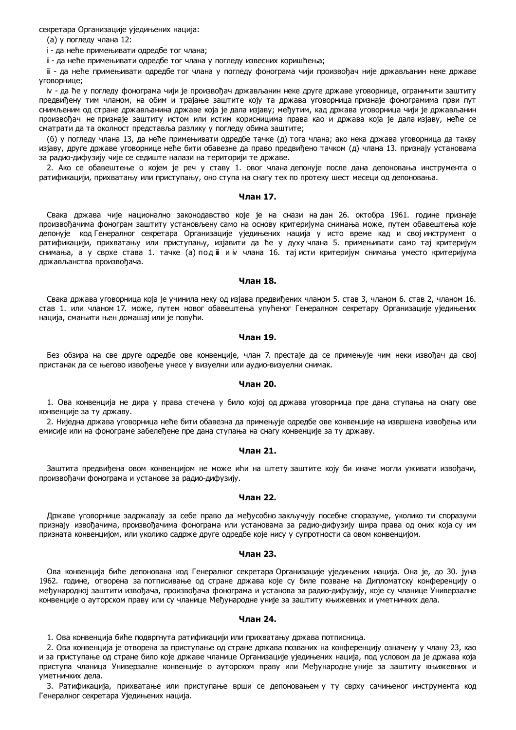секретара Организације уједињених нација:

(а) у погледу члана 12:

i - да неће примењивати одредбе тог члана;

ii - да неће примењивати одредбе тог члана у погледу извесних коришћења;

iii - да неће примењивати одредбе тог члана у погледу фонограма чији произвођач није држављанин неке државе уговорнице;

iv - да ће у погледу фонограма чији је произвођач држављанин неке друге државе уговорнице, ограничити заштиту предвиђену тим чланом, на обим и трајање заштите коју та држава уговорница признаје фонограмима први пут снимљеним од стране држављанина државе која је дала изјаву; међутим, кад држава уговорница чији је држављанин произвођач не признаје заштиту истом или истим корисницима права као и држава која је дала изјаву, неће се сматрати да та околност представља разлику у погледу обима заштите;

(б) у погледу члана 13, да неће примењивати одредбе тачке (д) тога члана; ако нека држава уговорница да такву изјаву, друге државе уговорнице неће бити обавезне да право предвиђено тачком (д) члана 13. признају установама за радио-дифузију чије се седиште налази на територији те државе.

2. Ако се обавештење о којем је реч у ставу 1. овог члана депонује после дана депоновања инструмента о ратификацији, прихватању или приступању, оно ступа на снагу тек по протеку шест месеци од депоновања.

## **Члан 17.**

Свака држава чије национално законодавство које је на снази на дан 26. октобра 1961. године признаје произвођачима фонограм заштиту установљену само на основу критеријума снимања може, путем обавештења које депонује код Генералног секретара Организације уједињених нација у исто време кад и свој инструмент о ратификацији, прихватању или приступању, изјавити да ће у духу члана 5. примењивати само тај критеријум снимања, а у сврхе става 1. тачке (а) под iii и iv члана 16. тај исти критеријум снимања уместо критеријума држављанства произвођача.

# **Члан 18.**

Свака држава уговорница која је учинила неку од изјава предвиђених чланом 5. став 3, чланом 6. став 2, чланом 16. став 1. или чланом 17. може, путем новог обавештења упућеног Генералном секретару Организације уједињених нација, смањити њен домашај или је повући.

# **Члан 19.**

Без обзира на све друге одредбе ове конвенције, члан 7. престаје да се примењује чим неки извођач да свој пристанак да се његово извођење унесе у визуелни или аудио-визуелни снимак.

#### **Члан 20.**

1. Ова конвенција не дира у права стечена у било којој од држава уговорница пре дана ступања на снагу ове конвенције за ту државу.

2. Ниједна држава уговорница неће бити обавезна да примењује одредбе ове конвенције на извршена извођења или емисије или на фонограме забелеђене пре дана ступања на снагу конвенције за ту државу.

# **Члан 21.**

Заштита предвиђена овом конвенцијом не може ићи на штету заштите коју би иначе могли уживати извођачи, произвођачи фонограма и установе за радио-дифузију.

#### **Члан 22.**

Државе уговорнице задржавају за себе право да међусобно закључују посебне споразуме, уколико ти споразуми признају извођачима, произвођачима фонограма или установама за радио-дифузију шира права од оних која су им призната конвенцијом, или уколико садрже друге одредбе које нису у супротности са овом конвенцијом.

# **Члан 23.**

Ова конвенција биће депонована код Генералног секретара Организације уједињених нација. Она је, до 30. јуна 1962. године, отворена за потписивање од стране држава које су биле позване на Дипломатску конференцију о међународној заштити извођача, произвођача фонограма и установа за радио-дифузију, које су чланице Универзалне конвенције о ауторском праву или су чланице Међународне уније за заштиту књижевних и уметничких дела.

#### **Члан 24.**

1. Ова конвенција биће подвргнута ратификацији или прихватању држава потписница.

2. Ова конвенција је отворена за приступање од стране држава позваних на конференцију означену у члану 23, као и за приступање од стране било које државе чланице Организације уједињених нација, под условом да је држава која приступа чланица Универзалне конвенције о ауторском праву или Међународне уније за заштиту књижевних и уметничких дела.

3. Ратификација, прихватање или приступање врши се депоновањем у ту сврху сачињеног инструмента код Генералног секретара Уједињених нација.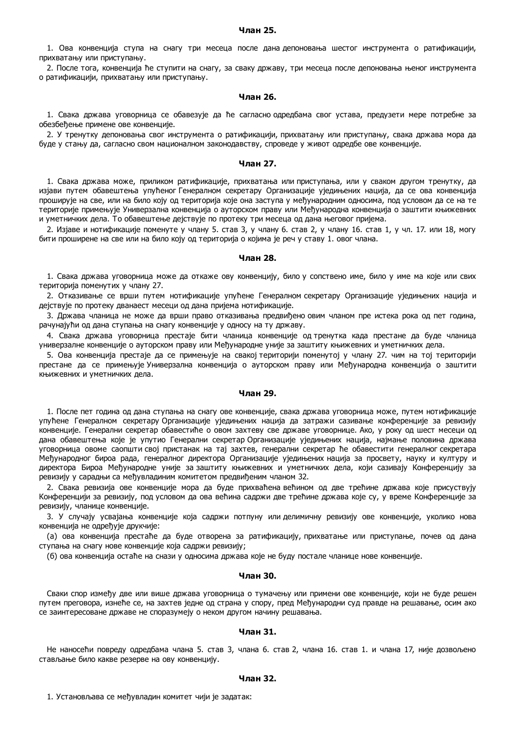#### **Члан 25.**

1. Ова конвенција ступа на снагу три месеца после дана депоновања шестог инструмента о ратификацији, прихватању или приступању.

2. После тога, конвенција ће ступити на снагу, за сваку државу, три месеца после депоновања њеног инструмента о ратификацији, прихватању или приступању.

#### **Члан 26.**

1. Свака држава уговорница се обавезује да ће сагласно одредбама свог устава, предузети мере потребне за обезбеђење примене ове конвенције.

2. У тренутку депоновања свог инструмента о ратификацији, прихватању или приступању, свака држава мора да буде у стању да, сагласно свом националном законодавству, спроведе у живот одредбе ове конвенције.

#### **Члан 27.**

1. Свака држава може, приликом ратификације, прихватања или приступања, или у сваком другом тренутку, да изјави путем обавештења упућеног Генералном секретару Организације уједињених нација, да се ова конвенција проширује на све, или на било коју од територија које она заступа у међународним односима, под условом да се на те територије примењује Универзална конвенција о ауторском праву или Међународна конвенција о заштити књижевних и уметничких дела. То обавештење дејствује по протеку три месеца од дана његовог пријема.

2. Изјаве и нотификације поменуте у члану 5. став 3, у члану 6. став 2, у члану 16. став 1, у чл. 17. или 18, могу бити проширене на све или на било коју од територија о којима је реч у ставу 1. овог члана.

#### **Члан 28.**

1. Свака држава уговорница може да откаже ову конвенцију, било у сопствено име, било у име ма које или свих територија поменутих у члану 27.

2. Отказивање се врши путем нотификације упућене Генералном секретару Организације уједињених нација и дејствује по протеку дванаест месеци од дана пријема нотификације.

3. Држава чланица не може да врши право отказивања предвиђено овим чланом пре истека рока од пет година, рачунајући од дана ступања на снагу конвенције у односу на ту државу.

4. Свака држава уговорница престаје бити чланица конвенције од тренутка када престане да буде чланица универзалне конвенције о ауторском праву или Међународне уније за заштиту књижевних и уметничких дела.

5. Ова конвенција престаје да се примењује на свакој територији поменутој у члану 27. чим на тој територији престане да се примењује Универзална конвенција о ауторском праву или Међународна конвенција о заштити књижевних и уметничких дела.

#### **Члан 29.**

1. После пет година од дана ступања на снагу ове конвенције, свака држава уговорница може, путем нотификације упућене Генералном секретару Организације уједињених нација да затражи сазивање конференције за ревизију конвенције. Генерални секретар обавестиће о овом захтеву све државе уговорнице. Ако, у року од шест месеци од дана обавештења које је упутио Генерални секретар Организације уједињених нација, најмање половина држава уговорница овоме саопшти свој пристанак на тај захтев, генерални секретар ће обавестити генералног секретара Међународног бироа рада, генералног директора Организације уједињених нација за просвету, науку и културу и директора Бироа Међународне уније за заштиту књижевних и уметничких дела, који сазивају Конференцију за ревизију у сарадњи са међувладиним комитетом предвиђеним чланом 32.

2. Свака ревизија ове конвенције мора да буде прихваћена већином од две трећине држава које присуствују Конференцији за ревизију, под условом да ова већина садржи две трећине држава које су, у време Конференције за ревизију, чланице конвенције.

3. У случају усвајања конвенције која садржи потпуну или делимичну ревизију ове конвенције, уколико нова конвенција не одређује друкчије:

(а) ова конвенција престаће да буде отворена за ратификацију, прихватање или приступање, почев од дана ступања на снагу нове конвенције која садржи ревизију;

(б) ова конвенција остаће на снази у односима држава које не буду постале чланице нове конвенције.

#### **Члан 30.**

Сваки спор између две или више држава уговорница о тумачењу или примени ове конвенције, који не буде решен путем преговора, изнеће се, на захтев једне од страна у спору, пред Међународни суд правде на решавање, осим ако се заинтересоване државе не споразумеју о неком другом начину решавања.

#### **Члан 31.**

Не наносећи повреду одредбама члана 5. став 3, члана 6. став 2, члана 16. став 1. и члана 17, није дозвољено стављање било какве резерве на ову конвенцију.

#### **Члан 32.**

1. Установљава се међувладин комитет чији је задатак: